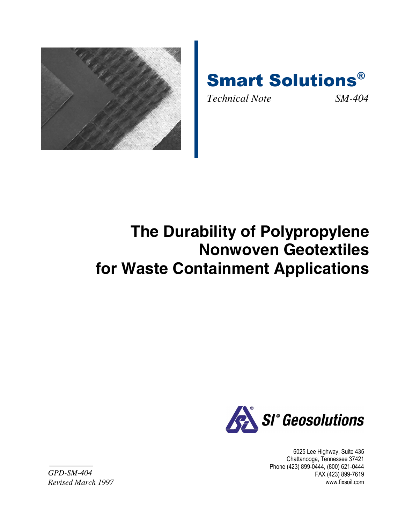



*Technical Note SM-404* 

# **The Durability of Polypropylene Nonwoven Geotextiles for Waste Containment Applications**



6025 Lee Highway, Suite 435 Chattanooga, Tennessee 37421 Phone (423) 899-0444, (800) 621-0444 FAX (423) 899-7619 www.fixsoil.com

*GPD-SM-404 Revised March 1997*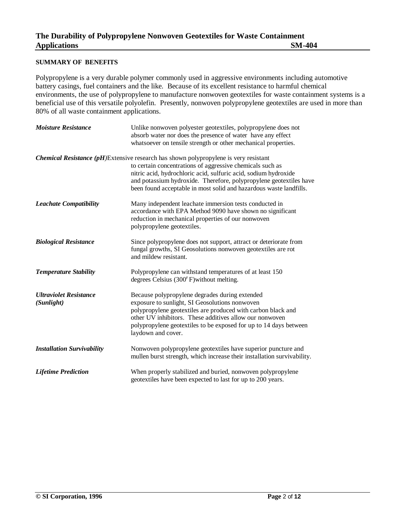# **SUMMARY OF BENEFITS**

Polypropylene is a very durable polymer commonly used in aggressive environments including automotive battery casings, fuel containers and the like. Because of its excellent resistance to harmful chemical environments, the use of polypropylene to manufacture nonwoven geotextiles for waste containment systems is a beneficial use of this versatile polyolefin. Presently, nonwoven polypropylene geotextiles are used in more than 80% of all waste containment applications.

| <b>Moisture Resistance</b>                  | Unlike nonwoven polyester geotextiles, polypropylene does not<br>absorb water nor does the presence of water have any effect<br>whatsoever on tensile strength or other mechanical properties.                                                                                                                                                                           |
|---------------------------------------------|--------------------------------------------------------------------------------------------------------------------------------------------------------------------------------------------------------------------------------------------------------------------------------------------------------------------------------------------------------------------------|
|                                             | <b>Chemical Resistance (pH)</b> Extensive research has shown polypropylene is very resistant<br>to certain concentrations of aggressive chemicals such as<br>nitric acid, hydrochloric acid, sulfuric acid, sodium hydroxide<br>and potassium hydroxide. Therefore, polypropylene geotextiles have<br>been found acceptable in most solid and hazardous waste landfills. |
| <b>Leachate Compatibility</b>               | Many independent leachate immersion tests conducted in<br>accordance with EPA Method 9090 have shown no significant<br>reduction in mechanical properties of our nonwoven<br>polypropylene geotextiles.                                                                                                                                                                  |
| <b>Biological Resistance</b>                | Since polypropylene does not support, attract or deteriorate from<br>fungal growths, SI Geosolutions nonwoven geotextiles are rot<br>and mildew resistant.                                                                                                                                                                                                               |
| <b>Temperature Stability</b>                | Polypropylene can withstand temperatures of at least 150<br>degrees Celsius (300FF) without melting.                                                                                                                                                                                                                                                                     |
| <b>Ultraviolet Resistance</b><br>(Sunlight) | Because polypropylene degrades during extended<br>exposure to sunlight, SI Geosolutions nonwoven<br>polypropylene geotextiles are produced with carbon black and<br>other UV inhibitors. These additives allow our nonwoven<br>polypropylene geotextiles to be exposed for up to 14 days between<br>laydown and cover.                                                   |
| <b>Installation Survivability</b>           | Nonwoven polypropylene geotextiles have superior puncture and<br>mullen burst strength, which increase their installation survivability.                                                                                                                                                                                                                                 |
| <b>Lifetime Prediction</b>                  | When properly stabilized and buried, nonwoven polypropylene<br>geotextiles have been expected to last for up to 200 years.                                                                                                                                                                                                                                               |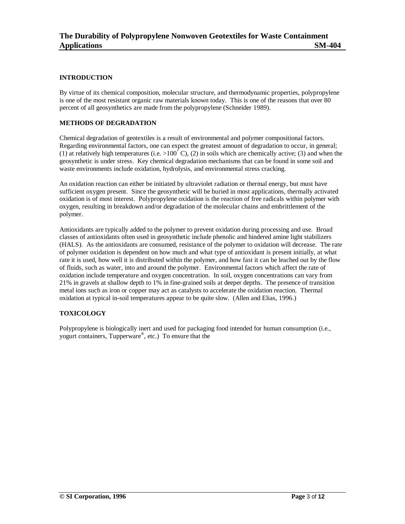## **INTRODUCTION**

By virtue of its chemical composition, molecular structure, and thermodynamic properties, polypropylene is one of the most resistant organic raw materials known today. This is one of the reasons that over 80 percent of all geosynthetics are made from the polypropylene (Schneider 1989).

#### **METHODS OF DEGRADATION**

Chemical degradation of geotextiles is a result of environmental and polymer compositional factors. Regarding environmental factors, one can expect the greatest amount of degradation to occur, in general; (1) at relatively high temperatures (i.e.  $>100^\circ$  C), (2) in soils which are chemically active; (3) and when the geosynthetic is under stress. Key chemical degradation mechanisms that can be found in some soil and waste environments include oxidation, hydrolysis, and environmental stress cracking.

An oxidation reaction can either be initiated by ultraviolet radiation or thermal energy, but must have sufficient oxygen present. Since the geosynthetic will be buried in most applications, thermally activated oxidation is of most interest. Polypropylene oxidation is the reaction of free radicals within polymer with oxygen, resulting in breakdown and/or degradation of the molecular chains and embrittlement of the polymer.

Antioxidants are typically added to the polymer to prevent oxidation during processing and use. Broad classes of antioxidants often used in geosynthetic include phenolic and hindered amine light stabilizers (HALS). As the antioxidants are consumed, resistance of the polymer to oxidation will decrease. The rate of polymer oxidation is dependent on how much and what type of antioxidant is present initially, at what rate it is used, how well it is distributed within the polymer, and how fast it can be leached out by the flow of fluids, such as water, into and around the polymer. Environmental factors which affect the rate of oxidation include temperature and oxygen concentration. In soil, oxygen concentrations can vary from 21% in gravels at shallow depth to 1% in fine-grained soils at deeper depths. The presence of transition metal ions such as iron or copper may act as catalysts to accelerate the oxidation reaction. Thermal oxidation at typical in-soil temperatures appear to be quite slow. (Allen and Elias, 1996.)

# **TOXICOLOGY**

Polypropylene is biologically inert and used for packaging food intended for human consumption (i.e., yogurt containers, Tupperware®, etc.) To ensure that the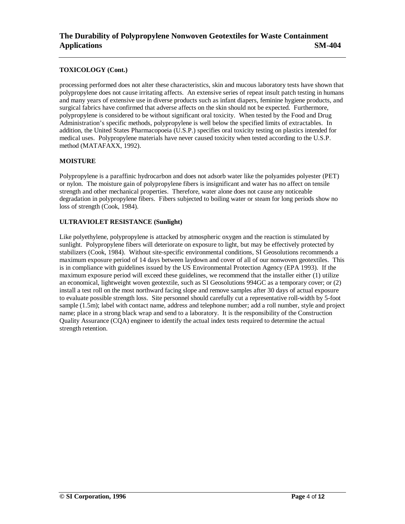## **TOXICOLOGY (Cont.)**

processing performed does not alter these characteristics, skin and mucous laboratory tests have shown that polypropylene does not cause irritating affects. An extensive series of repeat insult patch testing in humans and many years of extensive use in diverse products such as infant diapers, feminine hygiene products, and surgical fabrics have confirmed that adverse affects on the skin should not be expected. Furthermore, polypropylene is considered to be without significant oral toxicity. When tested by the Food and Drug Administration's specific methods, polypropylene is well below the specified limits of extractables. In addition, the United States Pharmacopoeia (U.S.P.) specifies oral toxicity testing on plastics intended for medical uses. Polypropylene materials have never caused toxicity when tested according to the U.S.P. method (MATAFAXX, 1992).

#### **MOISTURE**

Polypropylene is a paraffinic hydrocarbon and does not adsorb water like the polyamides polyester (PET) or nylon. The moisture gain of polypropylene fibers is insignificant and water has no affect on tensile strength and other mechanical properties. Therefore, water alone does not cause any noticeable degradation in polypropylene fibers. Fibers subjected to boiling water or steam for long periods show no loss of strength (Cook, 1984).

## **ULTRAVIOLET RESISTANCE (Sunlight)**

Like polyethylene, polypropylene is attacked by atmospheric oxygen and the reaction is stimulated by sunlight. Polypropylene fibers will deteriorate on exposure to light, but may be effectively protected by stabilizers (Cook, 1984). Without site-specific environmental conditions, SI Geosolutions recommends a maximum exposure period of 14 days between laydown and cover of all of our nonwoven geotextiles. This is in compliance with guidelines issued by the US Environmental Protection Agency (EPA 1993). If the maximum exposure period will exceed these guidelines, we recommend that the installer either (1) utilize an economical, lightweight woven geotextile, such as SI Geosolutions 994GC as a temporary cover; or (2) install a test roll on the most northward facing slope and remove samples after 30 days of actual exposure to evaluate possible strength loss. Site personnel should carefully cut a representative roll-width by 5-foot sample (1.5m); label with contact name, address and telephone number; add a roll number, style and project name; place in a strong black wrap and send to a laboratory. It is the responsibility of the Construction Quality Assurance (CQA) engineer to identify the actual index tests required to determine the actual strength retention.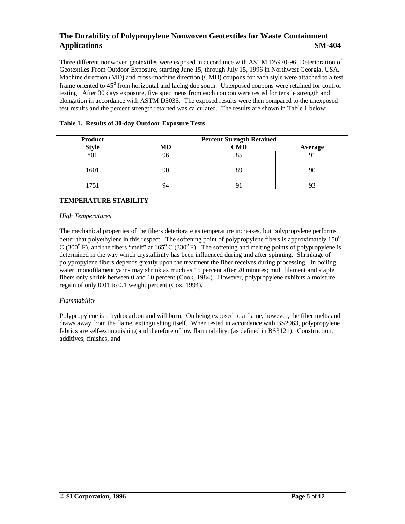Three different nonwoven geotextiles were exposed in accordance with ASTM D5970-96, Deterioration of Geotextiles From Outdoor Exposure, starting June 15, through July 15, 1996 in Northwest Georgia, USA. Machine direction (MD) and cross-machine direction (CMD) coupons for each style were attached to a test frame oriented to 45° from horizontal and facing due south. Unexposed coupons were retained for control testing. After 30 days exposure, five specimens from each coupon were tested for tensile strength and elongation in accordance with ASTM D5035. The exposed results were then compared to the unexposed test results and the percent strength retained was calculated. The results are shown in Table 1 below:

| <b>Product</b> | <b>Percent Strength Retained</b> |     |         |
|----------------|----------------------------------|-----|---------|
| <b>Style</b>   | MD                               | CMD | Average |
| 801            | 96                               | 85  |         |
| 1601           | 90                               | 89  | 90      |
| 1751           | 94                               |     |         |

# **Table 1. Results of 30-day Outdoor Exposure Tests**

## **TEMPERATURE STABILITY**

#### *High Temperatures*

The mechanical properties of the fibers deteriorate as temperature increases, but polypropylene performs better that polyethylene in this respect. The softening point of polypropylene fibers is approximately 150<sup>o</sup> C (300 $\degree$  F), and the fibers "melt" at 165 $\degree$  C (330 $\degree$  F). The softening and melting points of polypropylene is determined in the way which crystallinity has been influenced during and after spinning. Shrinkage of polypropylene fibers depends greatly upon the treatment the fiber receives during processing. In boiling water, monofilament yarns may shrink as much as 15 percent after 20 minutes; multifilament and staple fibers only shrink between 0 and 10 percent (Cook, 1984). However, polypropylene exhibits a moisture regain of only 0.01 to 0.1 weight percent (Cox, 1994).

#### *Flammability*

Polypropylene is a hydrocarbon and will burn. On being exposed to a flame, however, the fiber melts and draws away from the flame, extinguishing itself. When tested in accordance with BS2963, polypropylene fabrics are self-extinguishing and therefore of low flammability, (as defined in BS3121). Construction, additives, finishes, and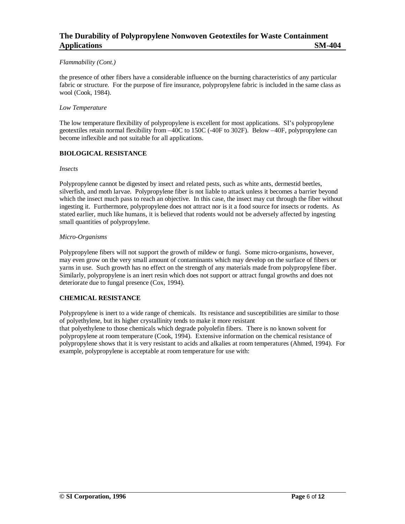#### *Flammability (Cont.)*

the presence of other fibers have a considerable influence on the burning characteristics of any particular fabric or structure. For the purpose of fire insurance, polypropylene fabric is included in the same class as wool (Cook, 1984).

#### *Low Temperature*

The low temperature flexibility of polypropylene is excellent for most applications. SI's polypropylene geotextiles retain normal flexibility from –40C to 150C (-40F to 302F). Below –40F, polypropylene can become inflexible and not suitable for all applications.

#### **BIOLOGICAL RESISTANCE**

#### *Insects*

Polypropylene cannot be digested by insect and related pests, such as white ants, dermestid beetles, silverfish, and moth larvae. Polypropylene fiber is not liable to attack unless it becomes a barrier beyond which the insect much pass to reach an objective. In this case, the insect may cut through the fiber without ingesting it. Furthermore, polypropylene does not attract nor is it a food source for insects or rodents. As stated earlier, much like humans, it is believed that rodents would not be adversely affected by ingesting small quantities of polypropylene.

#### *Micro-Organisms*

Polypropylene fibers will not support the growth of mildew or fungi. Some micro-organisms, however, may even grow on the very small amount of contaminants which may develop on the surface of fibers or yarns in use. Such growth has no effect on the strength of any materials made from polypropylene fiber. Similarly, polypropylene is an inert resin which does not support or attract fungal growths and does not deteriorate due to fungal presence (Cox, 1994).

#### **CHEMICAL RESISTANCE**

Polypropylene is inert to a wide range of chemicals. Its resistance and susceptibilities are similar to those of polyethylene, but its higher crystallinity tends to make it more resistant that polyethylene to those chemicals which degrade polyolefin fibers. There is no known solvent for polypropylene at room temperature (Cook, 1994). Extensive information on the chemical resistance of polypropylene shows that it is very resistant to acids and alkalies at room temperatures (Ahmed, 1994). For example, polypropylene is acceptable at room temperature for use with: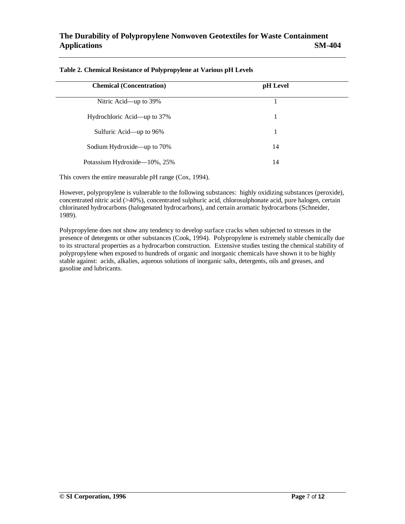| <b>Chemical (Concentration)</b> | pH Level |  |
|---------------------------------|----------|--|
| Nitric Acid—up to 39%           |          |  |
| Hydrochloric Acid—up to 37%     |          |  |
| Sulfuric Acid—up to 96%         | 1        |  |
| Sodium Hydroxide—up to 70%      | 14       |  |
| Potassium Hydroxide—10%, 25%    | 14       |  |

#### **Table 2. Chemical Resistance of Polypropylene at Various pH Levels**

This covers the entire measurable pH range (Cox, 1994).

However, polypropylene is vulnerable to the following substances: highly oxidizing substances (peroxide), concentrated nitric acid (>40%), concentrated sulphuric acid, chlorosulphonate acid, pure halogen, certain chlorinated hydrocarbons (halogenated hydrocarbons), and certain aromatic hydrocarbons (Schneider, 1989).

Polypropylene does not show any tendency to develop surface cracks when subjected to stresses in the presence of detergents or other substances (Cook, 1994). Polypropylene is extremely stable chemically due to its structural properties as a hydrocarbon construction. Extensive studies testing the chemical stability of polypropylene when exposed to hundreds of organic and inorganic chemicals have shown it to be highly stable against: acids, alkalies, aqueous solutions of inorganic salts, detergents, oils and greases, and gasoline and lubricants.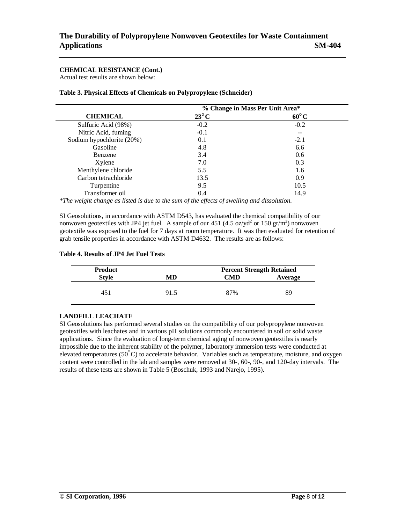# **CHEMICAL RESISTANCE (Cont.)**

Actual test results are shown below:

|                           | % Change in Mass Per Unit Area* |                |
|---------------------------|---------------------------------|----------------|
| <b>CHEMICAL</b>           | $23^{\circ}$ C                  | $60^{\circ}$ C |
| Sulfuric Acid (98%)       | $-0.2$                          | $-0.2$         |
| Nitric Acid, fuming       | $-0.1$                          |                |
| Sodium hypochlorite (20%) | 0.1                             | $-2.1$         |
| Gasoline                  | 4.8                             | 6.6            |
| Benzene                   | 3.4                             | 0.6            |
| Xylene                    | 7.0                             | 0.3            |
| Menthylene chloride       | 5.5                             | 1.6            |
| Carbon tetrachloride      | 13.5                            | 0.9            |
| Turpentine                | 9.5                             | 10.5           |
| Transformer oil           | 0.4                             | 14.9           |

*\*The weight change as listed is due to the sum of the effects of swelling and dissolution.*

SI Geosolutions, in accordance with ASTM D543, has evaluated the chemical compatibility of our nonwoven geotextiles with JP4 jet fuel. A sample of our  $451$  (4.5 oz/yd<sup>2</sup> or 150 gr/m<sup>2</sup>) nonwoven geotextile was exposed to the fuel for 7 days at room temperature. It was then evaluated for retention of grab tensile properties in accordance with ASTM D4632. The results are as follows:

| Table 4. Results of JP4 Jet Fuel Tests |  |
|----------------------------------------|--|
|----------------------------------------|--|

| <b>Product</b> |      | <b>Percent Strength Retained</b> |         |  |
|----------------|------|----------------------------------|---------|--|
| <b>Style</b>   | MD   | CMD                              | Average |  |
|                |      |                                  |         |  |
|                | 91.5 | 87%                              | 89      |  |
|                |      |                                  |         |  |

# **LANDFILL LEACHATE**

SI Geosolutions has performed several studies on the compatibility of our polypropylene nonwoven geotextiles with leachates and in various pH solutions commonly encountered in soil or solid waste applications. Since the evaluation of long-term chemical aging of nonwoven geotextiles is nearly impossible due to the inherent stability of the polymer, laboratory immersion tests were conducted at elevated temperatures (50"C) to accelerate behavior. Variables such as temperature, moisture, and oxygen content were controlled in the lab and samples were removed at 30-, 60-, 90-, and 120-day intervals. The results of these tests are shown in Table 5 (Boschuk, 1993 and Narejo, 1995).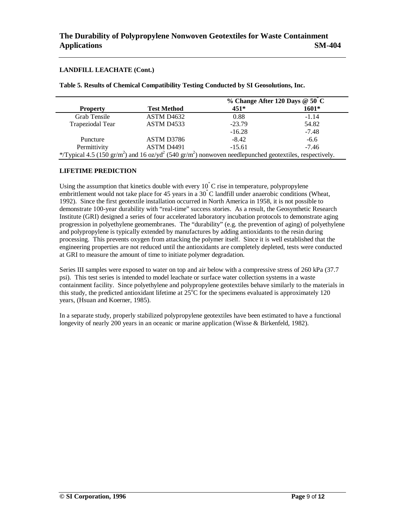## **LANDFILL LEACHATE (Cont.)**

**Table 5. Results of Chemical Compatibility Testing Conducted by SI Geosolutions, Inc.**

|                                                                                                                                             |                        |          | % Change After 120 Days $@50"C$ |
|---------------------------------------------------------------------------------------------------------------------------------------------|------------------------|----------|---------------------------------|
| <b>Property</b>                                                                                                                             | <b>Test Method</b>     | $451*$   | $1601*$                         |
| Grab Tensile                                                                                                                                | ASTM D <sub>4632</sub> | 0.88     | $-1.14$                         |
| Trapeziodal Tear                                                                                                                            | ASTM D <sub>4533</sub> | $-23.79$ | 54.82                           |
|                                                                                                                                             |                        | $-16.28$ | $-7.48$                         |
| Puncture                                                                                                                                    | ASTM D3786             | $-8.42$  | $-6.6$                          |
| Permittivity                                                                                                                                | ASTM D4491             | $-15.61$ | $-7.46$                         |
| */Typical 4.5 (150 gr/m <sup>2</sup> ) and 16 oz/yd <sup>2</sup> (540 gr/m <sup>2</sup> ) nonwoven needlepunched geotextiles, respectively. |                        |          |                                 |

## **LIFETIME PREDICTION**

Using the assumption that kinetics double with every 10"C rise in temperature, polypropylene embrittlement would not take place for 45 years in a 30"C landfill under anaerobic conditions (Wheat, 1992). Since the first geotextile installation occurred in North America in 1958, it is not possible to demonstrate 100-year durability with "real-time" success stories. As a result, the Geosynthetic Research Institute (GRI) designed a series of four accelerated laboratory incubation protocols to demonstrate aging progression in polyethylene geomembranes. The "durability" (e.g. the prevention of aging) of polyethylene and polypropylene is typically extended by manufactures by adding antioxidants to the resin during processing. This prevents oxygen from attacking the polymer itself. Since it is well established that the engineering properties are not reduced until the antioxidants are completely depleted, tests were conducted at GRI to measure the amount of time to initiate polymer degradation.

Series III samples were exposed to water on top and air below with a compressive stress of 260 kPa (37.7) psi). This test series is intended to model leachate or surface water collection systems in a waste containment facility. Since polyethylene and polypropylene geotextiles behave similarly to the materials in this study, the predicted antioxidant lifetime at  $25^{\circ}$ C for the specimens evaluated is approximately 120 years, (Hsuan and Koerner, 1985).

In a separate study, properly stabilized polypropylene geotextiles have been estimated to have a functional longevity of nearly 200 years in an oceanic or marine application (Wisse & Birkenfeld, 1982).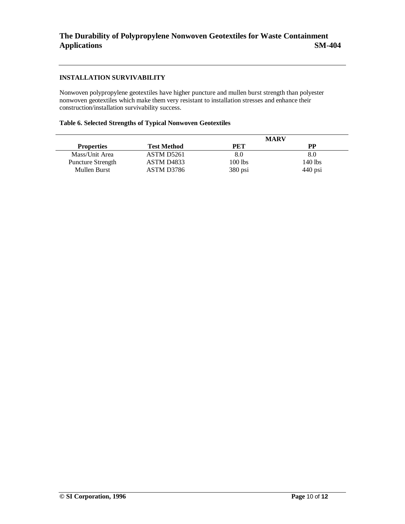# **INSTALLATION SURVIVABILITY**

Nonwoven polypropylene geotextiles have higher puncture and mullen burst strength than polyester nonwoven geotextiles which make them very resistant to installation stresses and enhance their construction/installation survivability success.

#### **Table 6. Selected Strengths of Typical Nonwoven Geotextiles**

|                          |                        | <b>MARV</b> |           |
|--------------------------|------------------------|-------------|-----------|
| <b>Properties</b>        | <b>Test Method</b>     | PET         | РP        |
| Mass/Unit Area           | ASTM D5261             | 8.0         | 8.0       |
| <b>Puncture Strength</b> | ASTM D <sub>4833</sub> | $100$ lbs   | 140 lbs   |
| Mullen Burst             | ASTM D3786             | $380$ psi   | $440$ psi |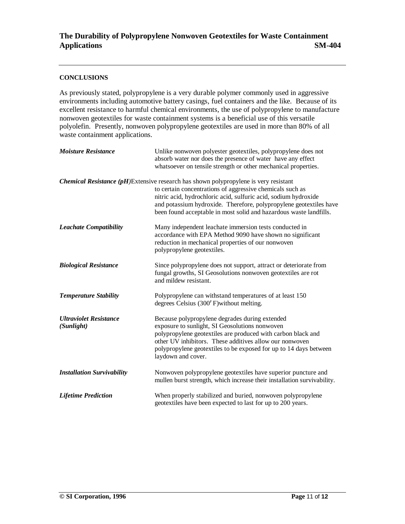# **CONCLUSIONS**

As previously stated, polypropylene is a very durable polymer commonly used in aggressive environments including automotive battery casings, fuel containers and the like. Because of its excellent resistance to harmful chemical environments, the use of polypropylene to manufacture nonwoven geotextiles for waste containment systems is a beneficial use of this versatile polyolefin. Presently, nonwoven polypropylene geotextiles are used in more than 80% of all waste containment applications.

| <b>Moisture Resistance</b>                  | Unlike nonwoven polyester geotextiles, polypropylene does not<br>absorb water nor does the presence of water have any effect<br>whatsoever on tensile strength or other mechanical properties.                                                                                                                                                                   |
|---------------------------------------------|------------------------------------------------------------------------------------------------------------------------------------------------------------------------------------------------------------------------------------------------------------------------------------------------------------------------------------------------------------------|
|                                             | Chemical Resistance (pH)Extensive research has shown polypropylene is very resistant<br>to certain concentrations of aggressive chemicals such as<br>nitric acid, hydrochloric acid, sulfuric acid, sodium hydroxide<br>and potassium hydroxide. Therefore, polypropylene geotextiles have<br>been found acceptable in most solid and hazardous waste landfills. |
| <b>Leachate Compatibility</b>               | Many independent leachate immersion tests conducted in<br>accordance with EPA Method 9090 have shown no significant<br>reduction in mechanical properties of our nonwoven<br>polypropylene geotextiles.                                                                                                                                                          |
| <b>Biological Resistance</b>                | Since polypropylene does not support, attract or deteriorate from<br>fungal growths, SI Geosolutions nonwoven geotextiles are rot<br>and mildew resistant.                                                                                                                                                                                                       |
| <b>Temperature Stability</b>                | Polypropylene can withstand temperatures of at least 150<br>degrees Celsius (300FF) without melting.                                                                                                                                                                                                                                                             |
| <b>Ultraviolet Resistance</b><br>(Sunlight) | Because polypropylene degrades during extended<br>exposure to sunlight, SI Geosolutions nonwoven<br>polypropylene geotextiles are produced with carbon black and<br>other UV inhibitors. These additives allow our nonwoven<br>polypropylene geotextiles to be exposed for up to 14 days between<br>laydown and cover.                                           |
| <b>Installation Survivability</b>           | Nonwoven polypropylene geotextiles have superior puncture and<br>mullen burst strength, which increase their installation survivability.                                                                                                                                                                                                                         |
| <b>Lifetime Prediction</b>                  | When properly stabilized and buried, nonwoven polypropylene<br>geotextiles have been expected to last for up to 200 years.                                                                                                                                                                                                                                       |